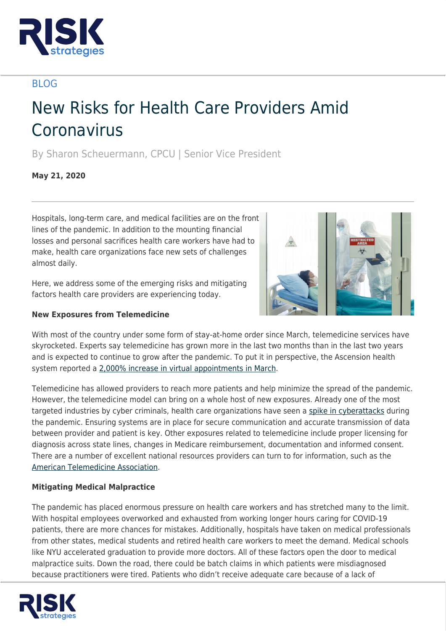

# BLOG

# New Risks for Health Care Providers Amid Coronavirus

By Sharon Scheuermann, CPCU | Senior Vice President

**May 21, 2020**

Hospitals, long-term care, and medical facilities are on the front lines of the pandemic. In addition to the mounting financial losses and personal sacrifices health care workers have had to make, health care organizations face new sets of challenges almost daily.

Here, we address some of the emerging risks and mitigating factors health care providers are experiencing today.

# **New Exposures from Telemedicine**



With most of the country under some form of stay-at-home order since March, telemedicine services have skyrocketed. Experts say telemedicine has grown more in the last two months than in the last two years and is expected to continue to grow after the pandemic. To put it in perspective, the Ascension health system reported a [2,000% increase in virtual appointments in March](https://www.wsj.com/articles/the-doctor-will-zoom-you-now-11587935588?mod=searchresults).

Telemedicine has allowed providers to reach more patients and help minimize the spread of the pandemic. However, the telemedicine model can bring on a whole host of new exposures. Already one of the most targeted industries by cyber criminals, health care organizations have seen a [spike in cyberattacks](https://www.bostonglobe.com/2020/04/19/business/cyber-attacks-grow-doctors-hospitals-struggle-update-security-measures/) during the pandemic. Ensuring systems are in place for secure communication and accurate transmission of data between provider and patient is key. Other exposures related to telemedicine include proper licensing for diagnosis across state lines, changes in Medicare reimbursement, documentation and informed consent. There are a number of excellent national resources providers can turn to for information, such as the [American Telemedicine Association.](https://www.americantelemed.org/)

## **Mitigating Medical Malpractice**

The pandemic has placed enormous pressure on health care workers and has stretched many to the limit. With hospital employees overworked and exhausted from working longer hours caring for COVID‐19 patients, there are more chances for mistakes. Additionally, hospitals have taken on medical professionals from other states, medical students and retired health care workers to meet the demand. Medical schools like NYU accelerated graduation to provide more doctors. All of these factors open the door to medical malpractice suits. Down the road, there could be batch claims in which patients were misdiagnosed because practitioners were tired. Patients who didn't receive adequate care because of a lack of